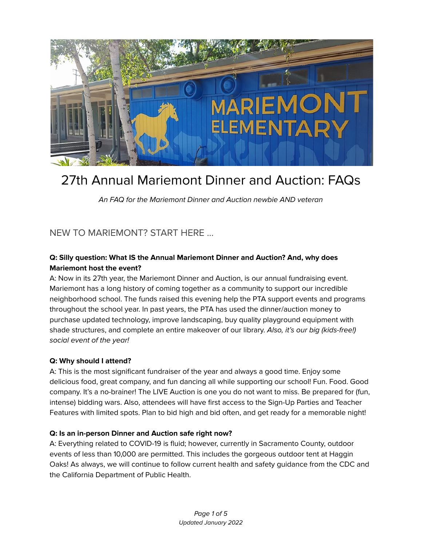

# 27th Annual Mariemont Dinner and Auction: FAQs

An FAQ for the Mariemont Dinner and Auction newbie AND veteran

# NEW TO MARIEMONT? START HERE ...

## **Q: Silly question: What IS the Annual Mariemont Dinner and Auction? And, why does Mariemont host the event?**

A: Now in its 27th year, the Mariemont Dinner and Auction, is our annual fundraising event. Mariemont has a long history of coming together as a community to support our incredible neighborhood school. The funds raised this evening help the PTA support events and programs throughout the school year. In past years, the PTA has used the dinner/auction money to purchase updated technology, improve landscaping, buy quality playground equipment with shade structures, and complete an entire makeover of our library. Also, it's our big (kids-free!) social event of the year!

#### **Q: Why should I attend?**

A: This is the most significant fundraiser of the year and always a good time. Enjoy some delicious food, great company, and fun dancing all while supporting our school! Fun. Food. Good company. It's a no-brainer! The LIVE Auction is one you do not want to miss. Be prepared for (fun, intense) bidding wars. Also, attendees will have first access to the Sign-Up Parties and Teacher Features with limited spots. Plan to bid high and bid often, and get ready for a memorable night!

#### **Q: Is an in-person Dinner and Auction safe right now?**

A: Everything related to COVID-19 is fluid; however, currently in Sacramento County, outdoor events of less than 10,000 are permitted. This includes the gorgeous outdoor tent at Haggin Oaks! As always, we will continue to follow current health and safety guidance from the CDC and the California Department of Public Health.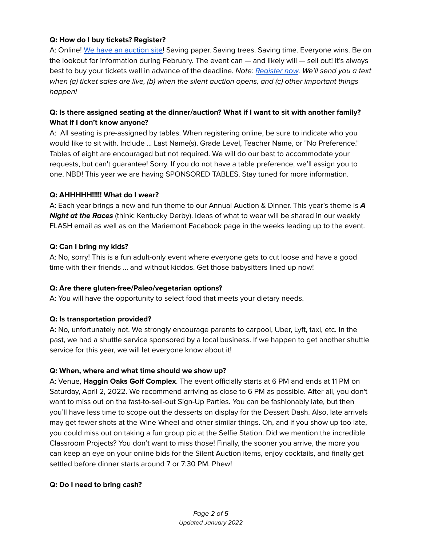## **Q: How do I buy tickets? Register?**

A: Online! We have an [auction](http://mariemontauction.org) site! Saving paper. Saving trees. Saving time. Everyone wins. Be on the lookout for information during February. The event can — and likely will — sell out! It's always best to buy your tickets well in advance of the deadline. Note: [Register](http://mariemontauction.org) now. We'll send you a text when (a) ticket sales are live, (b) when the silent auction opens, and (c) other important things happen!

## **Q: Is there assigned seating at the dinner/auction? What if I want to sit with another family? What if I don't know anyone?**

A: All seating is pre-assigned by tables. When registering online, be sure to indicate who you would like to sit with. Include ... Last Name(s), Grade Level, Teacher Name, or "No Preference." Tables of eight are encouraged but not required. We will do our best to accommodate your requests, but can't guarantee! Sorry. If you do not have a table preference, we'll assign you to one. NBD! This year we are having SPONSORED TABLES. Stay tuned for more information.

#### **Q: AHHHHH!!!!! What do I wear?**

A: Each year brings a new and fun theme to our Annual Auction & Dinner. This year's theme is **A Night at the Races** (think: Kentucky Derby). Ideas of what to wear will be shared in our weekly FLASH email as well as on the Mariemont Facebook page in the weeks leading up to the event.

## **Q: Can I bring my kids?**

A: No, sorry! This is a fun adult-only event where everyone gets to cut loose and have a good time with their friends ... and without kiddos. Get those babysitters lined up now!

#### **Q: Are there gluten-free/Paleo/vegetarian options?**

A: You will have the opportunity to select food that meets your dietary needs.

#### **Q: Is transportation provided?**

A: No, unfortunately not. We strongly encourage parents to carpool, Uber, Lyft, taxi, etc. In the past, we had a shuttle service sponsored by a local business. If we happen to get another shuttle service for this year, we will let everyone know about it!

#### **Q: When, where and what time should we show up?**

A: Venue, **Haggin Oaks Golf Complex**. The event officially starts at 6 PM and ends at 11 PM on Saturday, April 2, 2022. We recommend arriving as close to 6 PM as possible. After all, you don't want to miss out on the fast-to-sell-out Sign-Up Parties. You can be fashionably late, but then you'll have less time to scope out the desserts on display for the Dessert Dash. Also, late arrivals may get fewer shots at the Wine Wheel and other similar things. Oh, and if you show up too late, you could miss out on taking a fun group pic at the Selfie Station. Did we mention the incredible Classroom Projects? You don't want to miss those! Finally, the sooner you arrive, the more you can keep an eye on your online bids for the Silent Auction items, enjoy cocktails, and finally get settled before dinner starts around 7 or 7:30 PM. Phew!

#### **Q: Do I need to bring cash?**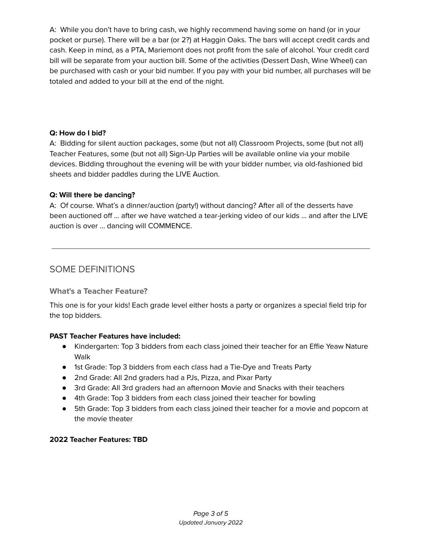A: While you don't have to bring cash, we highly recommend having some on hand (or in your pocket or purse). There will be a bar (or 2?) at Haggin Oaks. The bars will accept credit cards and cash. Keep in mind, as a PTA, Mariemont does not profit from the sale of alcohol. Your credit card bill will be separate from your auction bill. Some of the activities (Dessert Dash, Wine Wheel) can be purchased with cash or your bid number. If you pay with your bid number, all purchases will be totaled and added to your bill at the end of the night.

## **Q: How do I bid?**

A: Bidding for silent auction packages, some (but not all) Classroom Projects, some (but not all) Teacher Features, some (but not all) Sign-Up Parties will be available online via your mobile devices. Bidding throughout the evening will be with your bidder number, via old-fashioned bid sheets and bidder paddles during the LIVE Auction.

## **Q: Will there be dancing?**

A: Of course. What's a dinner/auction (party!) without dancing? After all of the desserts have been auctioned off ... after we have watched a tear-jerking video of our kids ... and after the LIVE auction is over ... dancing will COMMENCE.

## SOME DEFINITIONS

## **What's a Teacher Feature?**

This one is for your kids! Each grade level either hosts a party or organizes a special field trip for the top bidders.

## **PAST Teacher Features have included:**

- Kindergarten: Top 3 bidders from each class joined their teacher for an Effie Yeaw Nature Walk
- 1st Grade: Top 3 bidders from each class had a Tie-Dye and Treats Party
- 2nd Grade: All 2nd graders had a PJs, Pizza, and Pixar Party
- 3rd Grade: All 3rd graders had an afternoon Movie and Snacks with their teachers
- 4th Grade: Top 3 bidders from each class joined their teacher for bowling
- 5th Grade: Top 3 bidders from each class joined their teacher for a movie and popcorn at the movie theater

## **2022 Teacher Features: TBD**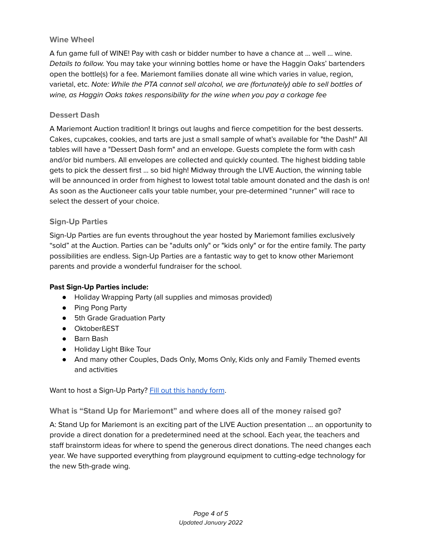## **Wine Wheel**

A fun game full of WINE! Pay with cash or bidder number to have a chance at ... well ... wine. Details to follow. You may take your winning bottles home or have the Haggin Oaks' bartenders open the bottle(s) for a fee. Mariemont families donate all wine which varies in value, region, varietal, etc. Note: While the PTA cannot sell alcohol, we are (fortunately) able to sell bottles of wine, as Haggin Oaks takes responsibility for the wine when you pay a corkage fee

## **Dessert Dash**

A Mariemont Auction tradition! It brings out laughs and fierce competition for the best desserts. Cakes, cupcakes, cookies, and tarts are just a small sample of what's available for "the Dash!" All tables will have a "Dessert Dash form" and an envelope. Guests complete the form with cash and/or bid numbers. All envelopes are collected and quickly counted. The highest bidding table gets to pick the dessert first ... so bid high! Midway through the LIVE Auction, the winning table will be announced in order from highest to lowest total table amount donated and the dash is on! As soon as the Auctioneer calls your table number, your pre-determined "runner" will race to select the dessert of your choice.

#### **Sign-Up Parties**

Sign-Up Parties are fun events throughout the year hosted by Mariemont families exclusively "sold" at the Auction. Parties can be "adults only" or "kids only" or for the entire family. The party possibilities are endless. Sign-Up Parties are a fantastic way to get to know other Mariemont parents and provide a wonderful fundraiser for the school.

#### **Past Sign-Up Parties include:**

- Holiday Wrapping Party (all supplies and mimosas provided)
- Ping Pong Party
- 5th Grade Graduation Party
- OktoberßEST
- Barn Bash
- Holiday Light Bike Tour
- And many other Couples, Dads Only, Moms Only, Kids only and Family Themed events and activities

Want to host a Sign-Up Party? Fill out this [handy](https://docs.google.com/forms/d/e/1FAIpQLSd_wUZT-PtJ1x5jfUehF3stRVvs7i6Bn93susUnW-YaJ4Gsyw/viewform?vc=0&c=0&w=1&flr=0) form.

**What is "Stand Up for Mariemont" and where does all of the money raised go?**

A: Stand Up for Mariemont is an exciting part of the LIVE Auction presentation ... an opportunity to provide a direct donation for a predetermined need at the school. Each year, the teachers and staff brainstorm ideas for where to spend the generous direct donations. The need changes each year. We have supported everything from playground equipment to cutting-edge technology for the new 5th-grade wing.